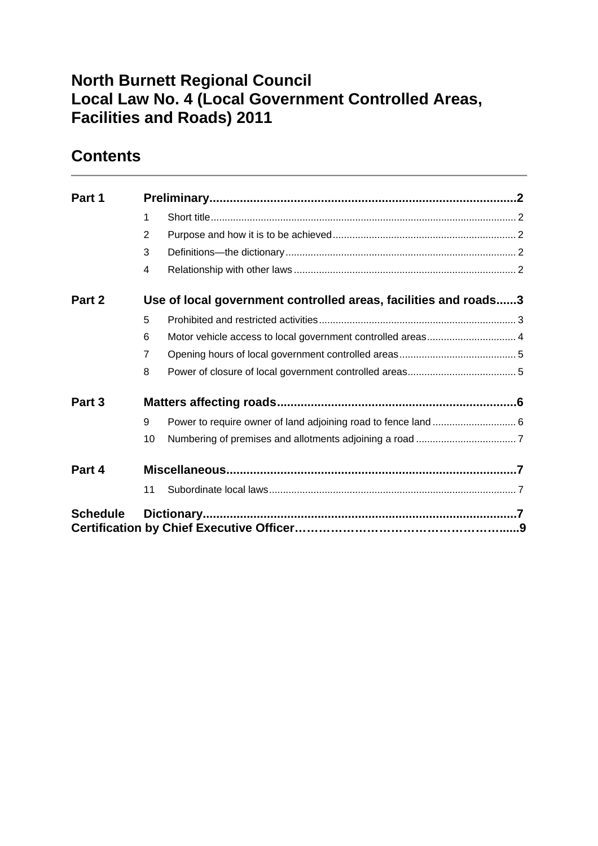# **North Burnett Regional Council Local Law No. 4 (Local Government Controlled Areas, Facilities and Roads) 2011**

# **Contents**

| Part 1          |                                                                 |  |  |  |
|-----------------|-----------------------------------------------------------------|--|--|--|
|                 | 1                                                               |  |  |  |
|                 | $\overline{2}$                                                  |  |  |  |
|                 | 3                                                               |  |  |  |
|                 | 4                                                               |  |  |  |
| Part 2          | Use of local government controlled areas, facilities and roads3 |  |  |  |
|                 | 5                                                               |  |  |  |
|                 | 6                                                               |  |  |  |
|                 | $\overline{7}$                                                  |  |  |  |
|                 | 8                                                               |  |  |  |
| Part 3          |                                                                 |  |  |  |
|                 | 9                                                               |  |  |  |
|                 | 10                                                              |  |  |  |
| Part 4          |                                                                 |  |  |  |
|                 | 11                                                              |  |  |  |
| <b>Schedule</b> |                                                                 |  |  |  |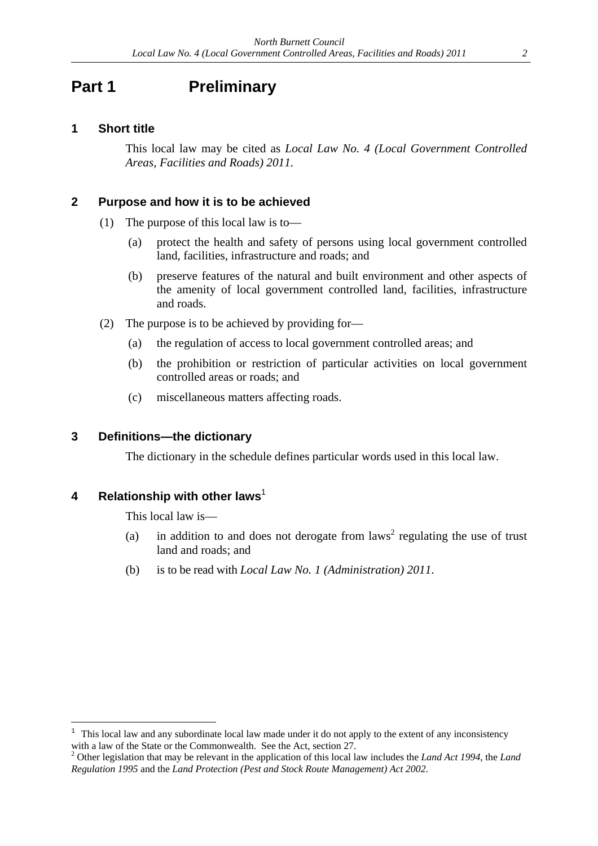## **Part 1** Preliminary

### **1 Short title**

This local law may be cited as *Local Law No. 4 (Local Government Controlled Areas, Facilities and Roads) 2011.*

### **2 Purpose and how it is to be achieved**

- (1) The purpose of this local law is to—
	- (a) protect the health and safety of persons using local government controlled land, facilities, infrastructure and roads; and
	- (b) preserve features of the natural and built environment and other aspects of the amenity of local government controlled land, facilities, infrastructure and roads.
- (2) The purpose is to be achieved by providing for—
	- (a) the regulation of access to local government controlled areas; and
	- (b) the prohibition or restriction of particular activities on local government controlled areas or roads; and
	- (c) miscellaneous matters affecting roads.

#### **3 Definitions—the dictionary**

The dictionary in the schedule defines particular words used in this local law.

#### **4 Relationship with other laws**<sup>1</sup>

 $\overline{a}$ 

This local law is—

- (a) in addition to and does not derogate from  $laws<sup>2</sup>$  regulating the use of trust land and roads; and
- (b) is to be read with *Local Law No. 1 (Administration) 2011*.

<sup>1</sup> This local law and any subordinate local law made under it do not apply to the extent of any inconsistency with a law of the State or the Commonwealth. See the Act, section 27.

Other legislation that may be relevant in the application of this local law includes the *Land Act 1994*, the *Land Regulation 1995* and the *Land Protection (Pest and Stock Route Management) Act 2002*.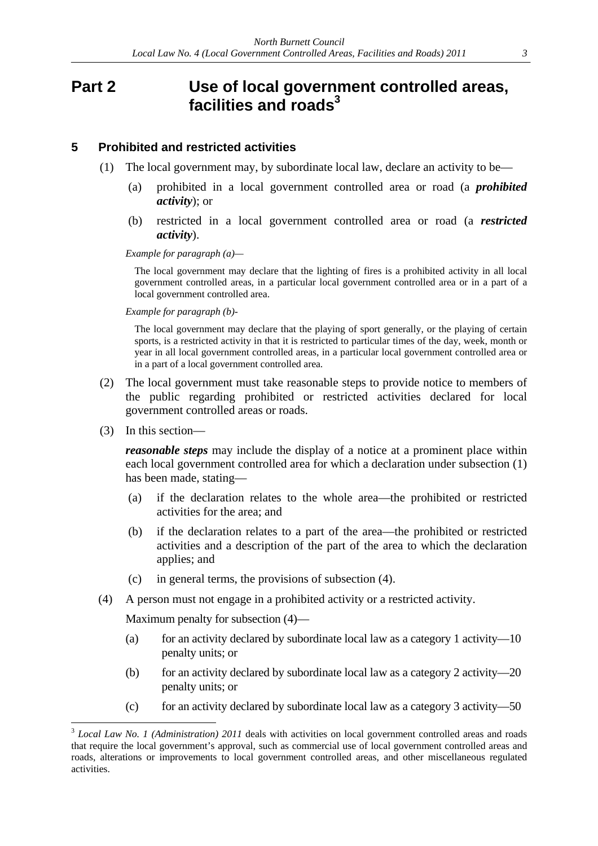## **Part 2 Use of local government controlled areas, facilities and roads3**

#### **5 Prohibited and restricted activities**

- (1) The local government may, by subordinate local law, declare an activity to be—
	- (a) prohibited in a local government controlled area or road (a *prohibited activity*); or
	- (b) restricted in a local government controlled area or road (a *restricted activity*).

*Example for paragraph (a)—* 

The local government may declare that the lighting of fires is a prohibited activity in all local government controlled areas, in a particular local government controlled area or in a part of a local government controlled area.

*Example for paragraph (b)-* 

The local government may declare that the playing of sport generally, or the playing of certain sports, is a restricted activity in that it is restricted to particular times of the day, week, month or year in all local government controlled areas, in a particular local government controlled area or in a part of a local government controlled area.

- (2) The local government must take reasonable steps to provide notice to members of the public regarding prohibited or restricted activities declared for local government controlled areas or roads.
- (3) In this section—

 $\overline{a}$ 

*reasonable steps* may include the display of a notice at a prominent place within each local government controlled area for which a declaration under subsection (1) has been made, stating—

- (a) if the declaration relates to the whole area—the prohibited or restricted activities for the area; and
- (b) if the declaration relates to a part of the area—the prohibited or restricted activities and a description of the part of the area to which the declaration applies; and
- (c) in general terms, the provisions of subsection (4).
- (4) A person must not engage in a prohibited activity or a restricted activity.

Maximum penalty for subsection (4)—

- (a) for an activity declared by subordinate local law as a category 1 activity—10 penalty units; or
- (b) for an activity declared by subordinate local law as a category 2 activity—20 penalty units; or
- (c) for an activity declared by subordinate local law as a category 3 activity—50

<sup>&</sup>lt;sup>3</sup> *Local Law No. 1 (Administration) 2011* deals with activities on local government controlled areas and roads that require the local government's approval, such as commercial use of local government controlled areas and roads, alterations or improvements to local government controlled areas, and other miscellaneous regulated activities.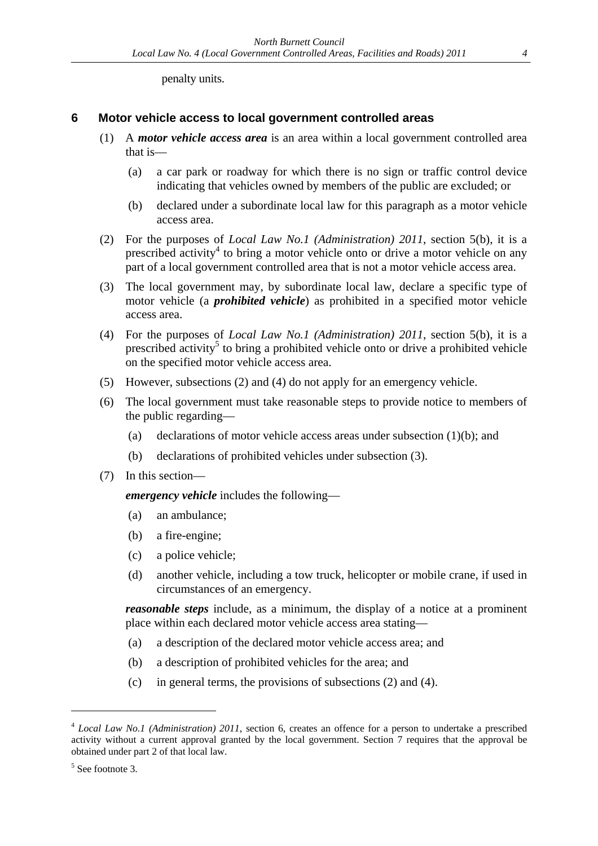penalty units.

### **6 Motor vehicle access to local government controlled areas**

- (1) A *motor vehicle access area* is an area within a local government controlled area that is—
	- (a) a car park or roadway for which there is no sign or traffic control device indicating that vehicles owned by members of the public are excluded; or
	- (b) declared under a subordinate local law for this paragraph as a motor vehicle access area.
- (2) For the purposes of *Local Law No.1 (Administration) 2011*, section 5(b), it is a prescribed activity<sup>4</sup> to bring a motor vehicle onto or drive a motor vehicle on any part of a local government controlled area that is not a motor vehicle access area.
- (3) The local government may, by subordinate local law, declare a specific type of motor vehicle (a *prohibited vehicle*) as prohibited in a specified motor vehicle access area.
- (4) For the purposes of *Local Law No.1 (Administration) 2011*, section 5(b), it is a prescribed activity<sup>5</sup> to bring a prohibited vehicle onto or drive a prohibited vehicle on the specified motor vehicle access area.
- (5) However, subsections (2) and (4) do not apply for an emergency vehicle.
- (6) The local government must take reasonable steps to provide notice to members of the public regarding—
	- (a) declarations of motor vehicle access areas under subsection (1)(b); and
	- (b) declarations of prohibited vehicles under subsection (3).
- (7) In this section—

*emergency vehicle* includes the following—

- (a) an ambulance;
- (b) a fire-engine;
- (c) a police vehicle;
- (d) another vehicle, including a tow truck, helicopter or mobile crane, if used in circumstances of an emergency.

*reasonable steps* include, as a minimum, the display of a notice at a prominent place within each declared motor vehicle access area stating—

- (a) a description of the declared motor vehicle access area; and
- (b) a description of prohibited vehicles for the area; and
- (c) in general terms, the provisions of subsections (2) and (4).

 $\overline{a}$ 

<sup>4</sup> *Local Law No.1 (Administration) 2011*, section 6, creates an offence for a person to undertake a prescribed activity without a current approval granted by the local government. Section 7 requires that the approval be obtained under part 2 of that local law.

<sup>&</sup>lt;sup>5</sup> See footnote 3.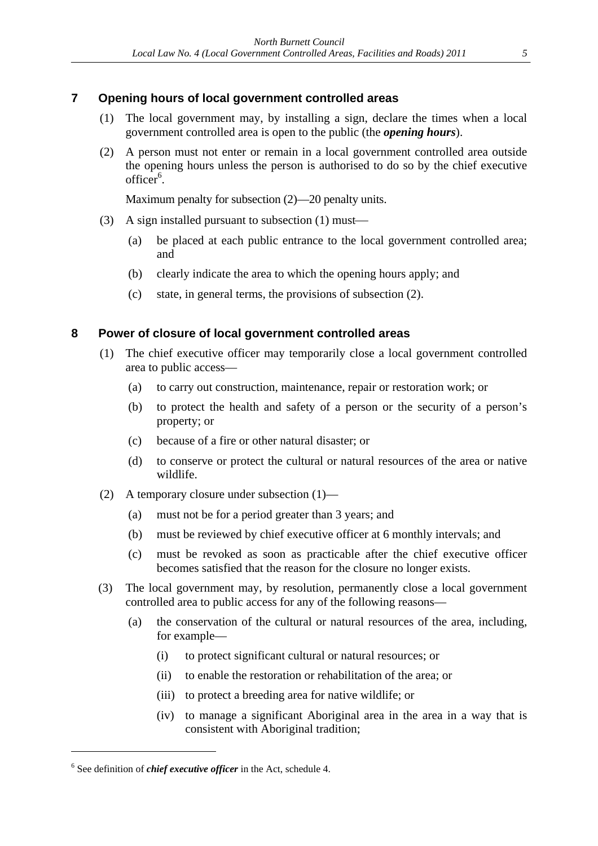### **7 Opening hours of local government controlled areas**

- (1) The local government may, by installing a sign, declare the times when a local government controlled area is open to the public (the *opening hours*).
- (2) A person must not enter or remain in a local government controlled area outside the opening hours unless the person is authorised to do so by the chief executive officer<sup>6</sup>.

Maximum penalty for subsection (2)—20 penalty units.

- (3) A sign installed pursuant to subsection (1) must
	- (a) be placed at each public entrance to the local government controlled area; and
	- (b) clearly indicate the area to which the opening hours apply; and
	- (c) state, in general terms, the provisions of subsection (2).

### **8 Power of closure of local government controlled areas**

- (1) The chief executive officer may temporarily close a local government controlled area to public access—
	- (a) to carry out construction, maintenance, repair or restoration work; or
	- (b) to protect the health and safety of a person or the security of a person's property; or
	- (c) because of a fire or other natural disaster; or
	- (d) to conserve or protect the cultural or natural resources of the area or native wildlife.
- (2) A temporary closure under subsection (1)—
	- (a) must not be for a period greater than 3 years; and
	- (b) must be reviewed by chief executive officer at 6 monthly intervals; and
	- (c) must be revoked as soon as practicable after the chief executive officer becomes satisfied that the reason for the closure no longer exists.
- (3) The local government may, by resolution, permanently close a local government controlled area to public access for any of the following reasons—
	- (a) the conservation of the cultural or natural resources of the area, including, for example—
		- (i) to protect significant cultural or natural resources; or
		- (ii) to enable the restoration or rehabilitation of the area; or
		- (iii) to protect a breeding area for native wildlife; or
		- (iv) to manage a significant Aboriginal area in the area in a way that is consistent with Aboriginal tradition;

 $\overline{a}$ 

<sup>6</sup> See definition of *chief executive officer* in the Act, schedule 4.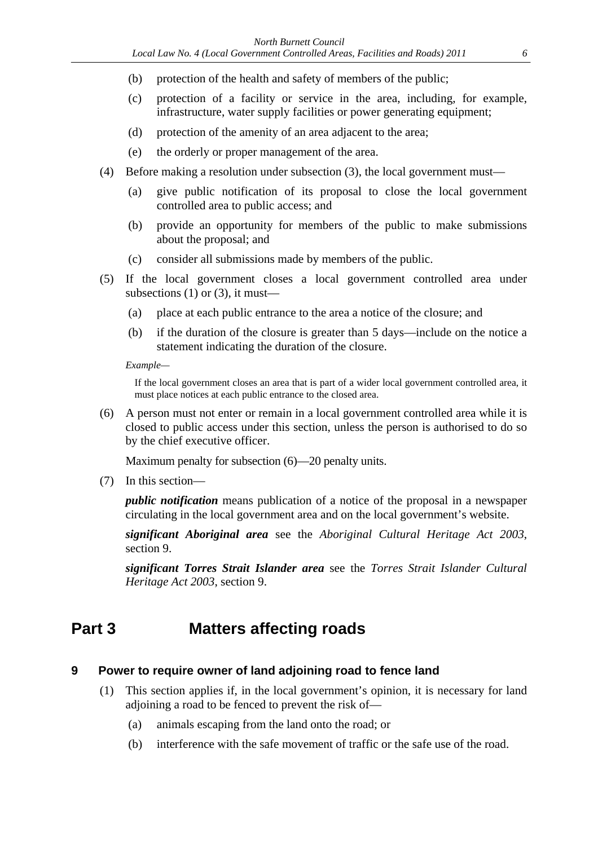- (b) protection of the health and safety of members of the public;
- (c) protection of a facility or service in the area, including, for example, infrastructure, water supply facilities or power generating equipment;
- (d) protection of the amenity of an area adjacent to the area;
- (e) the orderly or proper management of the area.
- (4) Before making a resolution under subsection (3), the local government must—
	- (a) give public notification of its proposal to close the local government controlled area to public access; and
	- (b) provide an opportunity for members of the public to make submissions about the proposal; and
	- (c) consider all submissions made by members of the public.
- (5) If the local government closes a local government controlled area under subsections (1) or (3), it must—
	- (a) place at each public entrance to the area a notice of the closure; and
	- (b) if the duration of the closure is greater than 5 days—include on the notice a statement indicating the duration of the closure.

*Example—* 

If the local government closes an area that is part of a wider local government controlled area, it must place notices at each public entrance to the closed area.

(6) A person must not enter or remain in a local government controlled area while it is closed to public access under this section, unless the person is authorised to do so by the chief executive officer.

Maximum penalty for subsection (6)—20 penalty units.

(7) In this section—

*public notification* means publication of a notice of the proposal in a newspaper circulating in the local government area and on the local government's website.

*significant Aboriginal area* see the *Aboriginal Cultural Heritage Act 2003*, section 9.

*significant Torres Strait Islander area* see the *Torres Strait Islander Cultural Heritage Act 2003*, section 9.

## **Part 3 Matters affecting roads**

#### **9 Power to require owner of land adjoining road to fence land**

- (1) This section applies if, in the local government's opinion, it is necessary for land adjoining a road to be fenced to prevent the risk of—
	- (a) animals escaping from the land onto the road; or
	- (b) interference with the safe movement of traffic or the safe use of the road.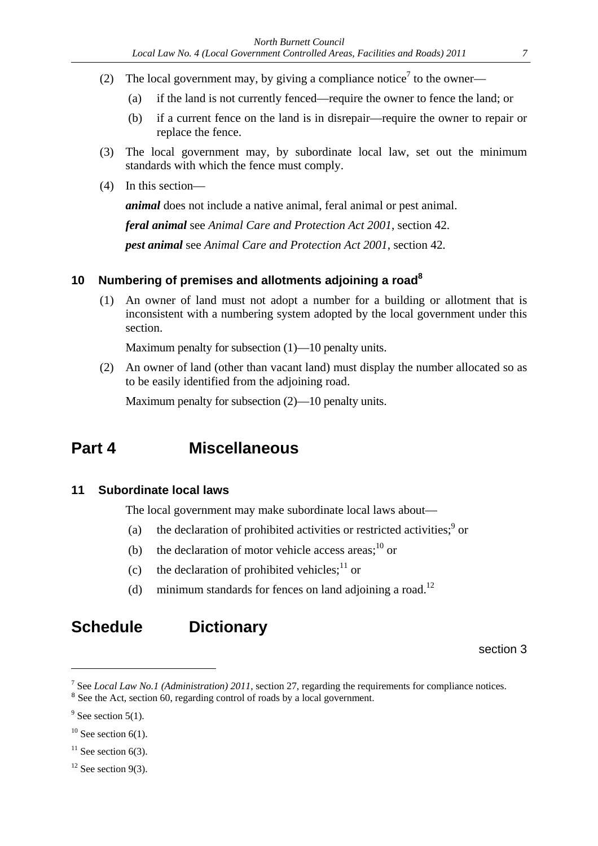- (2) The local government may, by giving a compliance notice<sup>7</sup> to the owner—
	- (a) if the land is not currently fenced—require the owner to fence the land; or
	- (b) if a current fence on the land is in disrepair—require the owner to repair or replace the fence.
- (3) The local government may, by subordinate local law, set out the minimum standards with which the fence must comply.
- (4) In this section—

*animal* does not include a native animal, feral animal or pest animal.

 *feral animal* see *Animal Care and Protection Act 2001*, section 42.  *pest animal* see *Animal Care and Protection Act 2001*, section 42*.*

### **10 Numbering of premises and allotments adjoining a road8**

(1) An owner of land must not adopt a number for a building or allotment that is inconsistent with a numbering system adopted by the local government under this section.

Maximum penalty for subsection (1)—10 penalty units.

(2) An owner of land (other than vacant land) must display the number allocated so as to be easily identified from the adjoining road.

Maximum penalty for subsection (2)—10 penalty units.

# **Part 4 Miscellaneous**

### **11 Subordinate local laws**

The local government may make subordinate local laws about—

- (a) the declaration of prohibited activities or restricted activities;<sup>9</sup> or
- (b) the declaration of motor vehicle access areas; $^{10}$  or
- (c) the declaration of prohibited vehicles;<sup>11</sup> or
- (d) minimum standards for fences on land adjoining a road.<sup>12</sup>

### **Schedule Dictionary**

section 3

 $\overline{a}$ 

 $11$  See section 6(3).

<sup>7</sup> See *Local Law No.1 (Administration) 2011*, section 27, regarding the requirements for compliance notices. <sup>8</sup> See the Act, section 60, regarding control of roads by a local government.

 $9^9$  See section 5(1).

 $10$  See section 6(1).

 $12$  See section 9(3).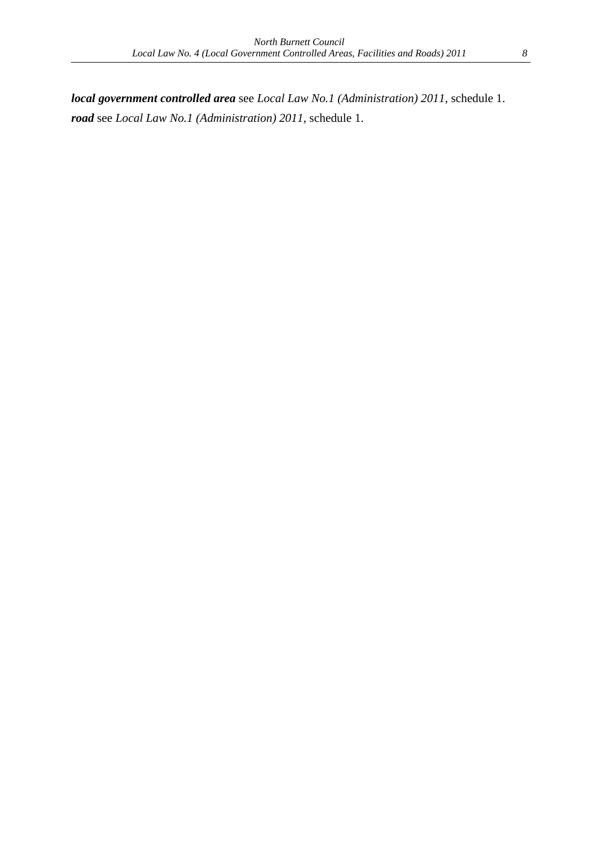*local government controlled area* see *Local Law No.1 (Administration) 2011*, schedule 1. *road* see *Local Law No.1 (Administration) 2011*, schedule 1.